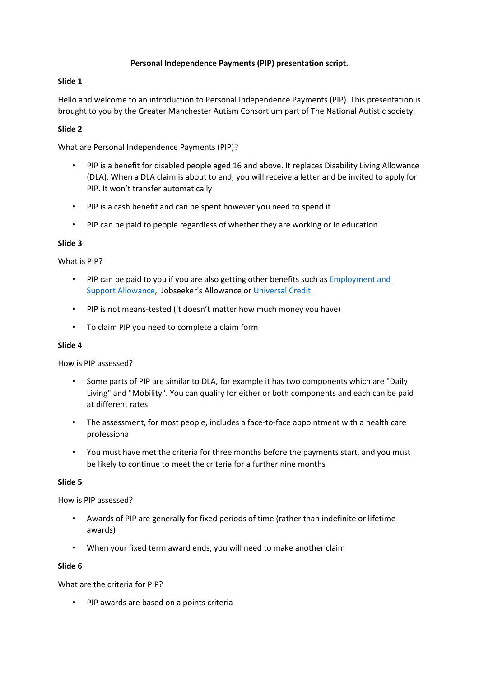## **Personal Independence Payments (PIP) presentation script.**

## **Slide 1**

Hello and welcome to an introduction to Personal Independence Payments (PIP). This presentation is brought to you by the Greater Manchester Autism Consortium part of The National Autistic society.

## **Slide 2**

What are Personal Independence Payments (PIP)?

- PIP is a benefit for disabled people aged 16 and above. It replaces Disability Living Allowance (DLA). When a DLA claim is about to end, you will receive a letter and be invited to apply for PIP. It won't transfer automatically
- PIP is a cash benefit and can be spent however you need to spend it
- PIP can be paid to people regardless of whether they are working or in education

# **Slide 3**

What is PIP?

- PIP can be paid to you if you are also getting other benefits such as [Employment and](http://www.autism.org.uk/about/benefits-care/benefits/esa.aspx)  [Support Allowance,](http://www.autism.org.uk/about/benefits-care/benefits/esa.aspx) Jobseeker's Allowance or [Universal Credit.](http://www.autism.org.uk/about/benefits-care/benefits/universal-credit.aspx)
- PIP is not means-tested (it doesn't matter how much money you have)
- To claim PIP you need to complete a claim form

# **Slide 4**

How is PIP assessed?

- Some parts of PIP are similar to DLA, for example it has two components which are "Daily Living" and "Mobility". You can qualify for either or both components and each can be paid at different rates
- The assessment, for most people, includes a face-to-face appointment with a health care professional
- You must have met the criteria for three months before the payments start, and you must be likely to continue to meet the criteria for a further nine months

### **Slide 5**

How is PIP assessed?

- Awards of PIP are generally for fixed periods of time (rather than indefinite or lifetime awards)
- When your fixed term award ends, you will need to make another claim

### **Slide 6**

What are the criteria for PIP?

• PIP awards are based on a points criteria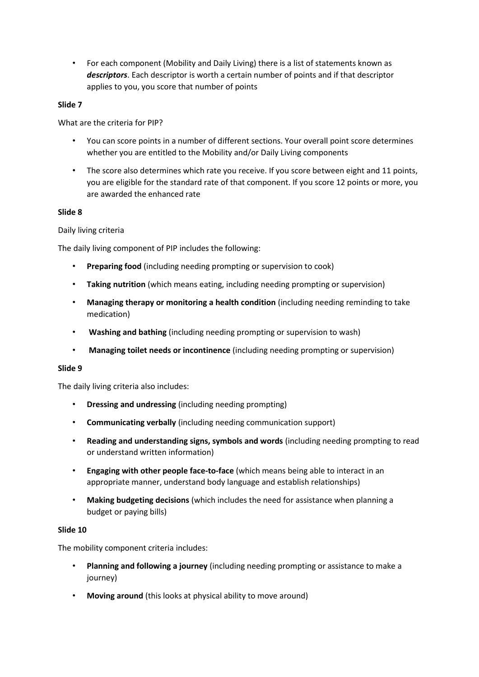• For each component (Mobility and Daily Living) there is a list of statements known as *descriptors*. Each descriptor is worth a certain number of points and if that descriptor applies to you, you score that number of points

### **Slide 7**

What are the criteria for PIP?

- You can score points in a number of different sections. Your overall point score determines whether you are entitled to the Mobility and/or Daily Living components
- The score also determines which rate you receive. If you score between eight and 11 points, you are eligible for the standard rate of that component. If you score 12 points or more, you are awarded the enhanced rate

## **Slide 8**

Daily living criteria

The daily living component of PIP includes the following:

- **Preparing food** (including needing prompting or supervision to cook)
- **Taking nutrition** (which means eating, including needing prompting or supervision)
- **Managing therapy or monitoring a health condition** (including needing reminding to take medication)
- **Washing and bathing** (including needing prompting or supervision to wash)
- **Managing toilet needs or incontinence** (including needing prompting or supervision)

### **Slide 9**

The daily living criteria also includes:

- **Dressing and undressing** (including needing prompting)
- **Communicating verbally** (including needing communication support)
- **Reading and understanding signs, symbols and words** (including needing prompting to read or understand written information)
- **Engaging with other people face-to-face** (which means being able to interact in an appropriate manner, understand body language and establish relationships)
- **Making budgeting decisions** (which includes the need for assistance when planning a budget or paying bills)

### **Slide 10**

The mobility component criteria includes:

- **Planning and following a journey** (including needing prompting or assistance to make a journey)
- **Moving around** (this looks at physical ability to move around)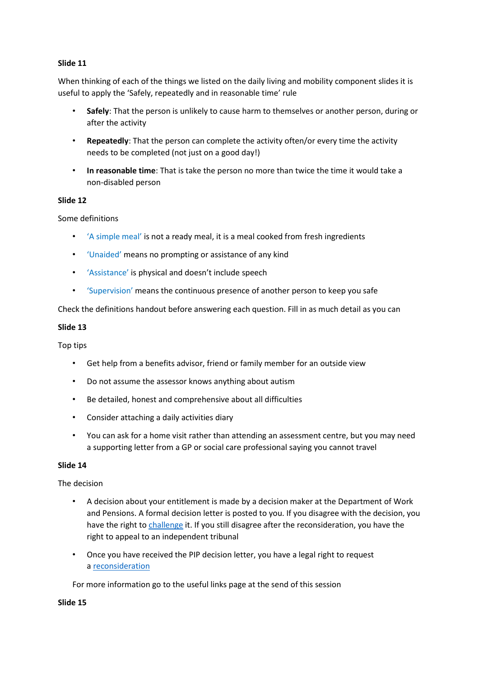## **Slide 11**

When thinking of each of the things we listed on the daily living and mobility component slides it is useful to apply the 'Safely, repeatedly and in reasonable time' rule

- **Safely**: That the person is unlikely to cause harm to themselves or another person, during or after the activity
- **Repeatedly**: That the person can complete the activity often/or every time the activity needs to be completed (not just on a good day!)
- **In reasonable time**: That is take the person no more than twice the time it would take a non-disabled person

## **Slide 12**

Some definitions

- 'A simple meal' is not a ready meal, it is a meal cooked from fresh ingredients
- 'Unaided' means no prompting or assistance of any kind
- 'Assistance' is physical and doesn't include speech
- 'Supervision' means the continuous presence of another person to keep you safe

Check the definitions handout before answering each question. Fill in as much detail as you can

### **Slide 13**

Top tips

- Get help from a benefits advisor, friend or family member for an outside view
- Do not assume the assessor knows anything about autism
- Be detailed, honest and comprehensive about all difficulties
- Consider attaching a daily activities diary
- You can ask for a home visit rather than attending an assessment centre, but you may need a supporting letter from a GP or social care professional saying you cannot travel

### **Slide 14**

The decision

- A decision about your entitlement is made by a decision maker at the Department of Work and Pensions. A formal decision letter is posted to you. If you disagree with the decision, you have the right to [challenge](http://www.autism.org.uk/about/benefits-care/benefits/pip/challenging.aspx) it. If you still disagree after the reconsideration, you have the right to appeal to an independent tribunal
- Once you have received the PIP decision letter, you have a legal right to request a [reconsideration](http://www.autism.org.uk/about/benefits-care/appeals.aspx)

For more information go to the useful links page at the send of this session

**Slide 15**